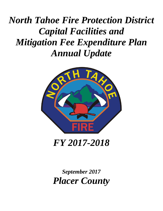# *North Tahoe Fire Protection District Capital Facilities and Mitigation Fee Expenditure Plan Annual Update*



*September 2017 Placer County*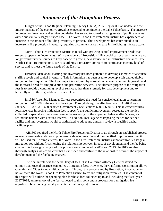# *Summary of the Mitigation Process*

In light of the Tahoe Regional Planning Agency (TRPA) 2012 Regional Plan update and the improving state of the economy, growth is expected to continue in the Lake Tahoe basin. The increase in protection inventory and service population has served to spread existing assets of public agencies over a substantially larger service base. The North Tahoe Fire Protection District has experienced an increase in the amount of building inventory to protect. This development has contributed to an increase in fire protection inventory, requiring a commensurate increase in firefighting infrastructure.

North Tahoe Fire Protection District is faced with growing capital improvement needs that exceed property tax increments. With the advent of Proposition 218, special tax or assessments are no longer valid revenue sources to keep pace with growth, new service and infrastructure demands. The North Tahoe Fire Protection District is utilizing a proactive approach to continue an existing level of service and to meet the future needs of the District.

Historical data about staffing and inventory has been gathered to develop estimates of adequate staffing levels and capital inventory. This information has been used to develop a fair and equitable mitigation fund equation. The total impact is analyzed by correlation between community growth and the increased need for fire prevention and protection services. The ultimate purpose of the mitigation fees is to provide a continuing level of service rather than a remedy for past development and to hopefully arrest the degradation of service levels.

In 1986 Assembly Member Cortese recognized the need for concise legislation concerning mitigation. AB1600 is the result of hearings. Through delay, the effective date of AB1600 was January 1, 1989. AB1600 enacted Government Code Sections 66000-66003. This in effect requires local agencies imposing mitigation fees to specify the public improvement, segregate the monies collected in special accounts, re-examine the necessity for the expanded balance after 5 years, and refund the balance with accrued interest. In addition, local agencies imposing the fee for defined facility and improvements would be authorized to adopt and annually review a specified capital facilities plan.

AB1600 required the North Tahoe Fire Protection District to go through an established process to enact a reasonable relationship between a development fee and the specified improvement that it will be used for. In simple terms, the North Tahoe Fire Protection District cannot arbitrarily charge a mitigation fee without first showing the relationship between impact of development and the fee being charged. A thorough analysis of this process was completed in 2007 and 2013. In 2015 another thorough analysis was conducted that established and confirmed the relationship between the impact of development and the fee being charged.

The final hurdle was the actual levy of fees. The California Attorney General issued the opinion that Special Districts cannot levy mitigation fees. However, the California Constitution allows Counties and Cities to levy mitigation fees. Through this process and by Resolution, Placer County has allowed the North Tahoe Fire Protection District to realize mitigation revenues. The content of this report will outline the spending plan for those fees collected up to and including the fiscal year 2017/2018, an inventory of the fees collected to this point and a proposal for a mitigation fee adjustment based on a generally accepted inflationary adjustment.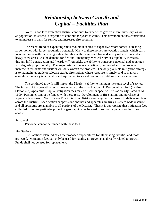# *Relationship between Growth and Capital – Facilities Plan*

North Tahoe Fire Protection District continues to experience growth in fire inventory, as well as population, this trend is expected to continue for years to come. This development has contributed to an increase in calls for service and increased fire potential.

The recent trend of expanding small mountain cabins to expansive resort homes is creating larger homes with larger population potential. Many of these homes are vacation rentals, which carry increased risks with transient guests unfamiliar with the unusual fire and safety risks of forested and heavy snow areas. As the demand for fire and Emergency Medical Services capability increases through infill construction and "teardown" remodels, the ability to transport personnel and apparatus will degrade proportionally. The major arterial routes are critically congested and the projected increase in residents and visitors will only worsen the problem. The only plausible mitigation strategy is to maintain, upgrade or relocate staffed fire stations where response is timely, and to maintain enough redundancy in apparatus and equipment to act autonomously until assistance can arrive.

The continued growth will impact the District's ability to maintain the same level of service. The impact of this growth affects three aspects of the organization: (1) Personnel required (2) Fire Stations (3) Apparatus. Capital Mitigation fees may be used for specific items as clearly stated in AB 1600. Personnel cannot be funded with these fees. Development of fire stations and purchase of apparatus is allowed. North Tahoe Fire Protection District uses a systems approach to deliver services across the District. Each Station supports one another and apparatus are truly a system wide resource and all apparatus are available to all portions of the District. Thus it is appropriate that mitigation fees collected from one particular project or geographic area be used to support apparatus or facilities in another.

#### Personnel

Personnel cannot be funded with these fees.

#### Fire Stations

The Facilities Plan indicates the proposed expenditures for all existing facilities and those projected. Mitigation fees can only be used for Facility improvements directly related to growth. Funds shall not be used for replacement.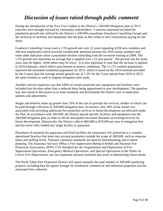# *Discussion of issues raised through public comment*

During the introduction of the Five Year Update to the District's AB1600 Mitigation plan in 2015, concerns were brought forward by community stakeholders. Concerns expressed included the population growth rate utilized by the District's AB1600 consultants (Goodwin Consulting Group) and the inclusion of facilities and equipment into the plan as they relate to new construction paying its fair share.

Goodwin Consulting Group used a 1.5% growth rate over 22 years (equaling 4,330 new residents and 540 new employees) which received considerable attention because the 2010 census numbers and some other indicators show a population decline coinciding with the recession starting in 2008. The 1.5% growth rate represents an average that is applied over a 22 year period. The growth rate for some years may be higher, while others may be lower. It is also important to note that the increase is applied to 2010 estimates, which reflect near-bottom economic conditions. The 11,172 resident populations represent the estimated residential population for 2013, which is based on the 2010 estimate provided by the County plus the average annual growth rate of 1.5% for the 3-year period from 2010 to 2013, the same formula as used in original mitigation plan study.

Another concern expresses was that 100% of certain projected new equipment and facilities were included into the plan rather than a reduced share being apportioned to new development. The question was also raised in discussion as to what standards and benchmarks the District uses to make plan updates and adjustments.

Wages and benefits make up greater than 70% of the cost to provide fire services, neither of which can be paid through collection of AB1600 mitigation fees. In essence, only 30% of the actual cost associated with providing additional fire protection services to future development are allocated under the Plan. In accordance with AB1600, the District placed specific facilities and equipment into the AB1600 mitigation plan in order to off-set anticipated increased demands on existing services by future development. Historically, the District collects \$60,000 to \$70,000 per year in mitigation fees and has never fully funded any single facility or apparatus.

Placement of essential fire apparatus and fixed facilities for community fire protection is a complex operational function that takes into account parameters outside the scope of AB1600, such as response times and staffing levels. National consensus standards are used for benchmarking and in future planning. The Insurance Services Office's *Fire Suppression Rating Schedule* and National Fire Protection Association, NFPA 1710 *Standard for the Organization and Deployment of Fire Suppression Operations, Emergency Medical Operations, and Special Operations to the Public by Career Fire Departments*, are two important national standards that assist in determining future needs.

The North Tahoe Fire Protection District will report annually the total number of AB1600 qualifying projects, including data for square footage for residential, commercial and industrial properties and the associated fees collected.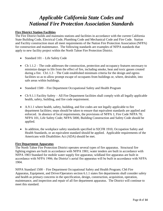# *Applicable California State Codes and National Fire Protection Association Standards*

#### **Fire District Station Facilities**

The Fire District builds and maintains stations and facilities in accordance with the current California State Building Code, Electrical Code, Plumbing Code and Mechanical Code and Fire Code. Station and Facility construction must all meet requirements of the Nation Fire Protection Association (NFPA) for construction and maintenance. The following standards are examples of NFPA standards that apply to new facility project within the North Tahoe Fire Protection District.

- Standard 101 Life Safety Code
- Ch 1.1.2 The code addresses the construction, protection and occupancy features necessary to minimize danger to life from the effect of fire, including smoke, heat and toxic gasses created during a fire. Ch1.1.3 – The Code established minimum criteria for the design and egress facilities so as to allow prompt escape of occupants from buildings or, where, desirable, into safe areas within buildings.
- Standard 1500 Fire Department Occupational Safety and Health Program
- Ch 9.1.1 Facility Safety All Fire Department facilities shall comply with all legally applicable health, safety, building, and fire code requirement.
- A.9.1.1 where health, safety, building, and fire codes are not legally applicable to fire department facilities; steps should be taken to ensure that equivalent standards are applied and enforced. In absence of local requirements, the provisions of NFPA 1; Fire Code NFPA 70; NFPA 101, Life Safety Code; NFPA 5000, Building Construction and Safety Code should be applied.
- In addition, the workplace safety standards specified in 92CFR 1910, Occupation Safety and Health Standards, or an equivalent standard should be applied. Applicable requirements of the Americans with Disabilities Act (ADA) should be met.

#### **Fire Department Apparatus**

The North Tahoe Fire Protection District operates several types of fire apparatus. Structural fire fighting engines are built in accordance with NFPA 1901; water tenders are built in accordance with NFPA 1903 Standard for mobile water supply fire apparatus; wildland fire apparatus are built in accordance with NFPA 1906; the District's aerial fire apparatus will be built in accordance with NFPA 1904.

NFPA Standard 1500 – Fire Department Occupational Safety and Health Program; Ch6 Fire Apparatus, Equipment, and Driver/Operators section 6.1.1 states fire departments shall consider safety and health as primary concerns in the specification, design, construction, acquisition, operation, maintenance, and inspection and repair of all fire department apparatus. The District will continue to meet this standard.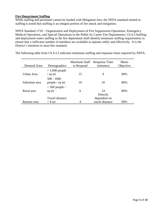#### **Fire Department Staffing**

While staffing and personnel cannot be funded with Mitigation fees; the NFPA standard related to staffing is noted that staffing is an integral portion of fire attack and mitigation.

NFPA Standard 1710 – Organization and Deployment of Fire Suppression Operations, Emergency Medical Operations, and Special Operations to the Public by Career Fire Departments; Ch 4.3 Staffing and deployment states staffing in the fire department shall identify minimum staffing requirements to ensure that a sufficient number of members are available to operate safely and effectively. It is the District's intention to meet this standard.

| Demand Zone   | Demographics                               | Minimum Staff<br>to Respond | <b>Response Time</b><br>(minutes) | Meets<br>Objective |
|---------------|--------------------------------------------|-----------------------------|-----------------------------------|--------------------|
| Urban Area    | $>1,000$ people<br>/ sq mi                 | 15                          | 9                                 | 90%                |
| Suburban area | $500 - 1000$<br>people / sq mi             | 10                          | 10                                | 80%                |
| Rural area    | $< 500$ people /<br>sq mi                  | 6                           | 14<br>Directly                    | 80%                |
| Remote area   | <b>Travel distance</b><br>$> 8 \text{ mi}$ | 4                           | dependent on<br>travel distance   | 90%                |

The following table from Ch 4.3.2 indicates minimum staffing and response times required by NFPA: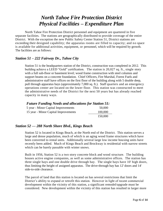# *North Tahoe Fire Protection District Physical Facilities – Expenditure Plan*

North Tahoe Fire Protection District personnel and equipment are quartered in five separate facilities. The stations are geographically distributed to provide coverage of the entire District. With the exception the new Public Safety Center Station 51, District stations are exceeding their designed capability; the apparatus rooms are filled to capacity; and no space is available for additional activities, equipment, or personnel, which will be required by growth. The facilities are as follows:

### *Station 51 – 222 Fairway Dr., Tahoe City*

Station 51 is the headquarters station of the District, construction was completed in 2012. This building achieve a LEED "Gold" certification. The station is 20,027 sq. ft., single story with a full sub-floor or basement level; wood frame construction with steel columns and support beams on a concrete foundation. Chief Officers, Fire Marshal, Forest Fuels and administrative staff have offices on the first floor of the building along with 5 double deep, pull through apparatus bays (approximately 7,000 sq. ft.). Staff quarters and an emergency operations center are located on the lower floor. This station was constructed to meet the administrative needs of the District for the next 50 years but has already reached capacity in many ways.

#### *Future Funding Needs and allocations for Station 51:*

| 5 year - Minor Capital Improvements  | 50,000  |
|--------------------------------------|---------|
| 15 year - Minor Capital Improvements | 100,000 |
|                                      | 150,000 |

#### *Station 52 — 288 North Shore Blvd., Kings Beach*

Station 52 is located in Kings Beach, at the North end of the District. This station serves a large and dense population, much of which is an aging wood frame structures which have been converted to rental units. Additionally several large low income housing units have recently been added. Much of Kings Beach and Brockway is residential with narrow streets which can be barely passable with winter snows.

Built in 1956, Station 52 is a two story concrete block and wood structure. The building houses active engine companies, as well as some administrative offices. The station has three single bays and one double drive through bay. The single bays have 10' high doors, thus limiting the height of assigned apparatus. The drive-through bay has 12' doors and 14' side-to-side clearance.

The parcel of land that this station is located on has several restrictions that limit the District's ability to expand or retrofit this station. However in light of recent commercial development within the vicinity of this station, a significant remodel/upgrade must be considered. New development within the vicinity of this station has resulted in larger more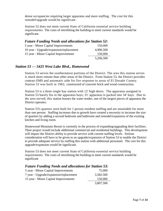dense occupancies requiring larger apparatus and more staffing. The cost for this remodel/upgrade would be significant.

Station 52 does not meet current State of California essential service building requirements. The costs of retrofitting the building to meet current standards would be significant.

| <b>Future Funding Needs and allocations for Station 52:</b> |           |
|-------------------------------------------------------------|-----------|
| 5 year - Minor Capital Improvements                         | 150,000   |
| 10 year - Upgrade/expansion/replacement                     | 4,906,500 |
| 15 year - Minor Capital Improvements                        | 150,000   |
|                                                             | 5,206,500 |

### *Station 53 — 5425 West Lake Blvd., Homewood*

Station 53 serves the southernmost portions of the District. The area this station serves is much more remote than other areas of the District. From Station 53, the District provides contract EMS and automatic aide for fire response to areas of El Dorado County. Station 53 was built in 1962, constructed of concrete brick and wood construction.

Station 53 is a three single bay station with 12' high doors. The apparatus assigned to Station 53 barely fits in the apparatus bays; 31' apparatus is packed into 34' bays. Due to the area served; this station houses the water tender, one of the largest pieces of apparatus the District operates.

Station 53's quarters were built for 1 person resident staffing and are unsuitable for more than one person. Staffing increases due to growth have created a necessity to increase the size of quarters by adding a second bedroom and bathroom and remodel/expansion of the existing kitchen and living room.

Homewood Mountain Resort is currently in the process of expanding/upgrading their facilities. Their project would include additional commercial and residential buildings. This development will impact the District ability to provide service with current staffing levels. Serious consideration will have to be given to an upgrade/expansion of Station 53 to enable the District to provide adequate service by staffing this station with additional personnel. The cost for this upgrade/expansion would be significant.

Station 53 does not meet current State of California essential service building requirements. The costs of retrofitting the building to meet current standards would be significant

### *Future Funding Needs and allocations for Station 53:*

| 5 year - Minor Capital Improvements    | 75,000    |
|----------------------------------------|-----------|
| 7 year - Upgrade/expansion/replacement | 3,582,500 |
| 15 year - Minor Capital Improvements   | 150,000   |
|                                        | 3,807,500 |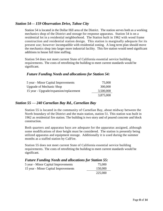### *Station 54— 159 Observation Drive, Tahoe City*

Station 54 is located in the Dollar Hill area of the District. The station serves both as a working mechanics shop of the District and storage for response apparatus. Station 54 is on a residential lot in a residential neighborhood. The Station built in 1962 with wood frame construction and residential station design. This station is marginally adequate for its present use; however incompatible with residential zoning. A long term plan should move the mechanics shop into larger more industrial facility. This fire station would need significant additions to house full time staffing.

Station 54 does not meet current State of California essential service building requirements. The costs of retrofitting the building to meet current standards would be significant.

#### *Future Funding Needs and allocations for Station 54:*

| 5 year - Minor Capital Improvements     | 75,000    |
|-----------------------------------------|-----------|
| <b>Upgrade of Mechanic Shop</b>         | 300,000   |
| 15 year - Upgrade/expansion/replacement | 3,500,000 |
|                                         | 3,875,000 |

#### *Station 55 — 240 Carnelian Bay Rd., Carnelian Bay*

Station 55 is located in the community of Carnelian Bay, about midway between the North boundary of the District and the main station, station 51. This station was built in 1962 as residential fire station. The building is two story and of poured concrete and block construction.

Both quarters and apparatus bays are adequate for the apparatus assigned, although some modifications of door height must be considered. The station is presently being utilized apparatus and equipment storage. Additionally it is used during the summer months as a staffed station by CalFire.

Station 55 does not meet current State of California essential service building requirements. The costs of retrofitting the building to meet current standards would be significant.

### *Future Funding Needs and allocations for Station 55:*

| 75,000  |
|---------|
| 150,000 |
| 225,000 |
|         |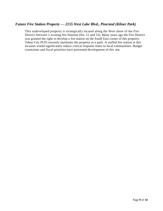### *Future Fire Station Property — 2155 West Lake Blvd., Pine/and (Kilner Park)*

This undeveloped property is strategically located along the West shore of the Fire District between 2 existing fire Stations (Sta. 51 and 53). Many years ago the Fire District was granted the right to develop a fire station on the South East corner of this property. Tahoe City PUD currently maintains the property as a park. A staffed fire station at this location would significantly reduce critical response times to local communities. Budget constraints and fiscal priorities have prevented development of this site.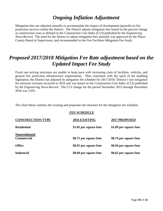# *Ongoing Inflation Adjustment*

Mitigation fees are adjusted annually to accommodate the impact of development (growth) on fire protection services within the District. The District adjusts mitigation fees based on the percent change in construction costs as defined in the Construction Cost Index (CCI) published by the *Engineering News-Record.* The need for the District to adjust mitigation fees annually was approved by the Placer County Board of Supervisors, and recommended in the Fire Facilities Mitigation Fee Study.

### *Proposed 2017/2018 Mitigation Fee Rate adjustment based on the Updated Impact Fee Study*

Fixed rate pricing structures are unable to keep pace with increasing costs of facilities, vehicles, and general fire protection infrastructure requirements. Thus consistent with the spirit of the enabling legislation, the District has adjusted its mitigation fee schedule for 2017/2018. District's last mitigation fee structure increase occurred in 2016 and was based on the Construction Cost Index (CCI) published by the *Engineering News-Record.* The CCI change for the period November 2015 through November 2016 was 3.6%.

The chart below outlines the existing and proposed rate structure for the mitigation fee schedule.

#### **FEE SCHEDULE**

| <b>CONSTRUCTION TYPE</b>                   | 2016 EXISTING          | 2017 PROPOSED          |
|--------------------------------------------|------------------------|------------------------|
| <b>Residential</b>                         | \$1.05 per square foot | \$1.09 per square foot |
| <b>Nonresidential</b><br><b>Commercial</b> | \$0.71 per square foot | \$0.74 per square foot |
| <b>Office</b>                              | \$0.91 per square foot | \$0.94 per square foot |
| <b>Industrial</b>                          | \$0.60 per square foot | \$0.62 per square foot |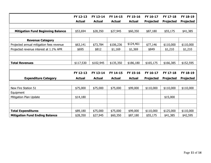|                                          | FY 12-13      | FY 13-14      | FY 14-15      | FY 15-16      | FY 16-17         | FY 17-18         | FY 18-19         |
|------------------------------------------|---------------|---------------|---------------|---------------|------------------|------------------|------------------|
|                                          | <b>Actual</b> | <b>Actual</b> | <b>Actual</b> | <b>Actual</b> | <b>Projected</b> | <b>Projected</b> | <b>Projected</b> |
|                                          |               |               |               |               |                  |                  |                  |
| <b>Mitigation Fund Beginning Balance</b> | \$53,694      | \$28,350      | \$27,945      | \$60,350      | \$87,180         | \$55,175         | \$41,385         |
|                                          |               |               |               |               |                  |                  |                  |
| <b>Revenue Category</b>                  |               |               |               |               |                  |                  |                  |
| Projected annual mitigation fees revenue | \$63,141      | \$73,784      | \$106,236     | \$124,461     | \$77,146         | \$110,000        | \$110,000        |
| Projected revenue interest at 1.1% APR   | \$695         | \$812         | \$1,169       | \$1,369       | \$849            | \$1,210          | \$1,210          |
|                                          |               |               |               |               |                  |                  |                  |
|                                          |               |               |               |               |                  |                  |                  |
| <b>Total Revenues</b>                    | \$117,530     | \$102,945     | \$135,350     | \$186,180     | \$165, 175       | \$166,385        | \$152,595        |
|                                          |               |               |               |               |                  |                  |                  |
|                                          | FY 12-13      | FY 13-14      | FY 14-15      | FY 15-16      | FY 16-17         | FY 17-18         | FY 18-19         |
| <b>Expenditure Category</b>              | <b>Actual</b> | <b>Actual</b> | <b>Actual</b> | <b>Actual</b> | <b>Projected</b> | <b>Projected</b> | <b>Projected</b> |
|                                          |               |               |               |               |                  |                  |                  |
| New Fire Station 51                      | \$75,000      | \$75,000      | \$75,000      | \$99,000      | \$110,000        | \$110,000        | \$110,000        |
| Equipment                                |               |               |               |               |                  |                  |                  |
| Mitigation Plan Update                   | \$14,180      |               |               |               |                  | \$15,000         |                  |
|                                          |               |               |               |               |                  |                  |                  |
|                                          |               |               |               |               |                  |                  |                  |
| <b>Total Expenditures</b>                | \$89,180      | \$75,000      | \$75,000      | \$99,000      | \$110,000        | \$125,000        | \$110,000        |
| <b>Mitigation Fund Ending Balance</b>    | \$28,350      | \$27,945      | \$60,350      | \$87,180      | \$55,175         | \$41,385         | \$42,595         |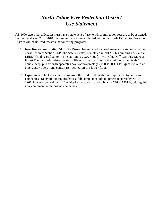# *North Tahoe Fire Protection District Use Statement*

AB 1600 states that a District must have a statement of use to which mitigation fees are to be assigned. For the fiscal year 2017/2018, the fire mitigation fees collected within the North Tahoe Fire Protection District will be utilized towards the following programs:

- 1. **New fire station (Station 51):** The District has replaced its headquarters fire station with the construction of Station 51/Public Safety Center, completed in 2012. This building achieved a LEED "Gold" certification. The station is 20,027 sq. ft., with Chief Officers, Fire Marshal, Forest Fuels and administrative staff offices on the first floor of the building along with 5 double deep, pull through apparatus bays (approximately 7,000 sq. ft.). Staff quarters and an emergency operations center are located on the lower floor.
- 2. **Equipment:** The District has recognized the need to add additional equipment to our engine companies. Many of our engines have a full complement of equipment required by NFPA 1901, however some do not. The District endeavors to comply with NFPA 1901 by adding this new equipment to our engine companies.